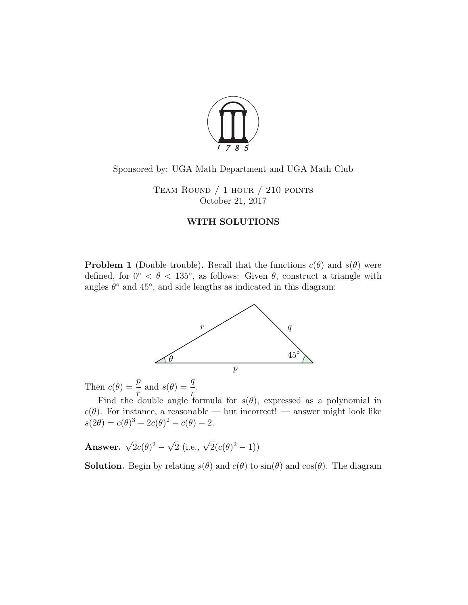

## Sponsored by: UGA Math Department and UGA Math Club

Team Round / 1 hour / 210 points October 21, 2017

## WITH SOLUTIONS

**Problem 1** (Double trouble). Recall that the functions  $c(\theta)$  and  $s(\theta)$  were defined, for  $0° < \theta < 135°$ , as follows: Given  $\theta$ , construct a triangle with angles  $\theta^{\circ}$  and  $45^{\circ}$ , and side lengths as indicated in this diagram:



Then  $c(\theta) = \frac{p}{q}$ r and  $s(\theta) = \frac{q}{q}$ r .

Find the double angle formula for  $s(\theta)$ , expressed as a polynomial in  $c(\theta)$ . For instance, a reasonable — but incorrect! — answer might look like  $s(2\theta) = c(\theta)^3 + 2c(\theta)^2 - c(\theta) - 2.$ 

Answer.  $\sqrt{2}c(\theta)^2$  –  $\sqrt{2}$  (i.e.,  $\sqrt{2}(c(\theta)^2 - 1)$ )

**Solution.** Begin by relating  $s(\theta)$  and  $c(\theta)$  to  $\sin(\theta)$  and  $\cos(\theta)$ . The diagram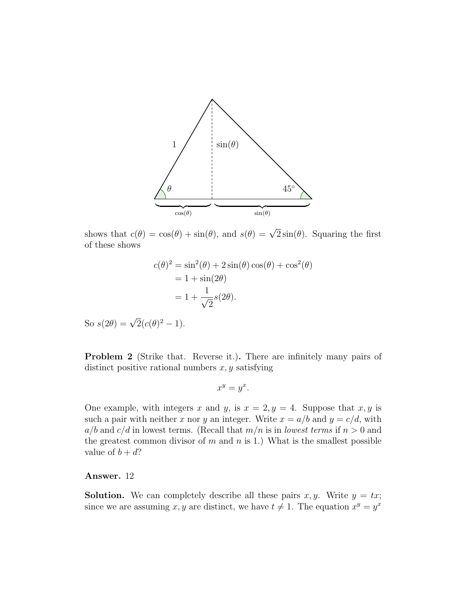

shows that  $c(\theta) = \cos(\theta) + \sin(\theta)$ , and  $s(\theta) = \sqrt{2}\sin(\theta)$ . Squaring the first of these shows

$$
c(\theta)^2 = \sin^2(\theta) + 2\sin(\theta)\cos(\theta) + \cos^2(\theta)
$$

$$
= 1 + \sin(2\theta)
$$

$$
= 1 + \frac{1}{\sqrt{2}}s(2\theta).
$$

So  $s(2\theta) = \sqrt{2}(c(\theta)^2 - 1)$ .

Problem 2 (Strike that. Reverse it.). There are infinitely many pairs of distinct positive rational numbers  $x, y$  satisfying

$$
x^y = y^x.
$$

One example, with integers x and y, is  $x = 2, y = 4$ . Suppose that x, y is such a pair with neither x nor y an integer. Write  $x = a/b$  and  $y = c/d$ , with  $a/b$  and  $c/d$  in lowest terms. (Recall that  $m/n$  is in lowest terms if  $n > 0$  and the greatest common divisor of  $m$  and  $n$  is 1.) What is the smallest possible value of  $b + d$ ?

## Answer. 12

**Solution.** We can completely describe all these pairs x, y. Write  $y = tx$ ; since we are assuming x, y are distinct, we have  $t \neq 1$ . The equation  $x^y = y^x$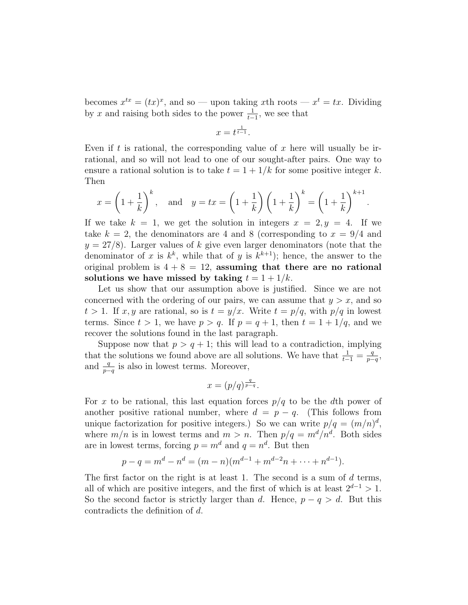becomes  $x^{tx} = (tx)^x$ , and so — upon taking xth roots —  $x^t = tx$ . Dividing by x and raising both sides to the power  $\frac{1}{t-1}$ , we see that

$$
x=t^{\frac{1}{t-1}}.
$$

Even if t is rational, the corresponding value of x here will usually be irrational, and so will not lead to one of our sought-after pairs. One way to ensure a rational solution is to take  $t = 1 + 1/k$  for some positive integer k. Then

$$
x = \left(1 + \frac{1}{k}\right)^k
$$
, and  $y = tx = \left(1 + \frac{1}{k}\right)\left(1 + \frac{1}{k}\right)^k = \left(1 + \frac{1}{k}\right)^{k+1}$ .

If we take  $k = 1$ , we get the solution in integers  $x = 2, y = 4$ . If we take  $k = 2$ , the denominators are 4 and 8 (corresponding to  $x = 9/4$  and  $y = 27/8$ ). Larger values of k give even larger denominators (note that the denominator of x is  $k^k$ , while that of y is  $k^{k+1}$ ; hence, the answer to the original problem is  $4 + 8 = 12$ , assuming that there are no rational solutions we have missed by taking  $t = 1 + 1/k$ .

Let us show that our assumption above is justified. Since we are not concerned with the ordering of our pairs, we can assume that  $y > x$ , and so  $t > 1$ . If x, y are rational, so is  $t = y/x$ . Write  $t = p/q$ , with  $p/q$  in lowest terms. Since  $t > 1$ , we have  $p > q$ . If  $p = q + 1$ , then  $t = 1 + 1/q$ , and we recover the solutions found in the last paragraph.

Suppose now that  $p > q + 1$ ; this will lead to a contradiction, implying that the solutions we found above are all solutions. We have that  $\frac{1}{t-1} = \frac{q}{p-1}$  $\frac{q}{p-q}$ and  $\frac{q}{p-q}$  is also in lowest terms. Moreover,

$$
x = (p/q)^{\frac{q}{p-q}}.
$$

For x to be rational, this last equation forces  $p/q$  to be the dth power of another positive rational number, where  $d = p - q$ . (This follows from unique factorization for positive integers.) So we can write  $p/q = (m/n)^d$ , where  $m/n$  is in lowest terms and  $m > n$ . Then  $p/q = m^d/n^d$ . Both sides are in lowest terms, forcing  $p = m^d$  and  $q = n^d$ . But then

$$
p - q = md - nd = (m - n)(md-1 + md-2n + \dots + nd-1).
$$

The first factor on the right is at least 1. The second is a sum of  $d$  terms, all of which are positive integers, and the first of which is at least  $2^{d-1} > 1$ . So the second factor is strictly larger than d. Hence,  $p - q > d$ . But this contradicts the definition of d.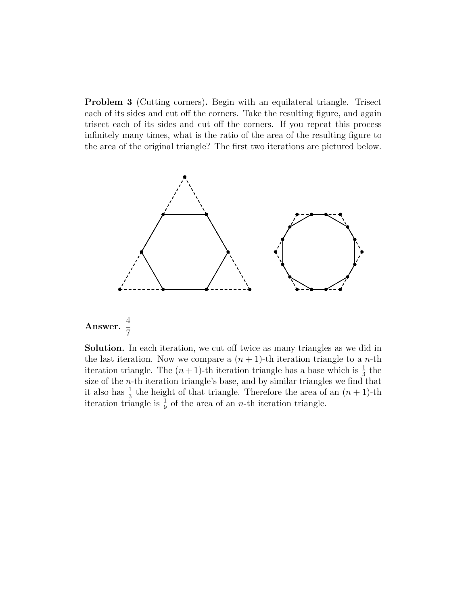Problem 3 (Cutting corners). Begin with an equilateral triangle. Trisect each of its sides and cut off the corners. Take the resulting figure, and again trisect each of its sides and cut off the corners. If you repeat this process infinitely many times, what is the ratio of the area of the resulting figure to the area of the original triangle? The first two iterations are pictured below.



7 Solution. In each iteration, we cut off twice as many triangles as we did in the last iteration. Now we compare a  $(n + 1)$ -th iteration triangle to a *n*-th iteration triangle. The  $(n+1)$ -th iteration triangle has a base which is  $\frac{1}{3}$  the size of the n-th iteration triangle's base, and by similar triangles we find that it also has  $\frac{1}{3}$  the height of that triangle. Therefore the area of an  $(n + 1)$ -th iteration triangle is  $\frac{1}{9}$  of the area of an *n*-th iteration triangle.